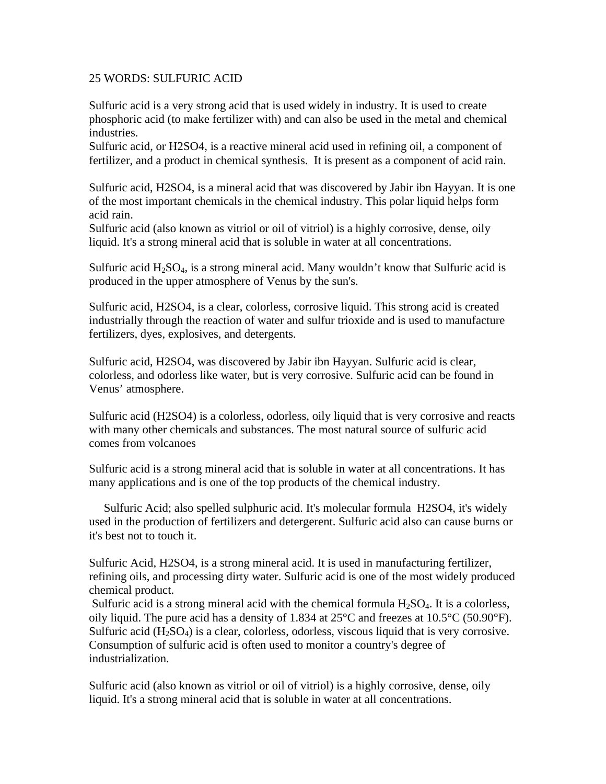## 25 WORDS: SULFURIC ACID

Sulfuric acid is a very strong acid that is used widely in industry. It is used to create phosphoric acid (to make fertilizer with) and can also be used in the metal and chemical industries.

Sulfuric acid, or H2SO4, is a reactive mineral acid used in refining oil, a component of fertilizer, and a product in chemical synthesis. It is present as a component of acid rain.

Sulfuric acid, H2SO4, is a mineral acid that was discovered by Jabir ibn Hayyan. It is one of the most important chemicals in the chemical industry. This polar liquid helps form acid rain.

Sulfuric acid (also known as vitriol or oil of vitriol) is a highly corrosive, dense, oily liquid. It's a strong mineral acid that is soluble in water at all concentrations.

Sulfuric acid  $H_2SO_4$ , is a strong mineral acid. Many wouldn't know that Sulfuric acid is produced in the upper atmosphere of Venus by the sun's.

Sulfuric acid, H2SO4, is a clear, colorless, corrosive liquid. This strong acid is created industrially through the reaction of water and sulfur trioxide and is used to manufacture fertilizers, dyes, explosives, and detergents.

Sulfuric acid, H2SO4, was discovered by Jabir ibn Hayyan. Sulfuric acid is clear, colorless, and odorless like water, but is very corrosive. Sulfuric acid can be found in Venus' atmosphere.

Sulfuric acid (H2SO4) is a colorless, odorless, oily liquid that is very corrosive and reacts with many other chemicals and substances. The most natural source of sulfuric acid comes from volcanoes

Sulfuric acid is a strong mineral acid that is soluble in water at all concentrations. It has many applications and is one of the top products of the chemical industry.

 Sulfuric Acid; also spelled sulphuric acid. It's molecular formula H2SO4, it's widely used in the production of fertilizers and detergerent. Sulfuric acid also can cause burns or it's best not to touch it.

Sulfuric Acid, H2SO4, is a strong mineral acid. It is used in manufacturing fertilizer, refining oils, and processing dirty water. Sulfuric acid is one of the most widely produced chemical product.

Sulfuric acid is a strong mineral acid with the chemical formula  $H_2SO_4$ . It is a colorless, oily liquid. The pure acid has a density of 1.834 at  $25^{\circ}$ C and freezes at  $10.5^{\circ}$ C (50.90 $^{\circ}$ F). Sulfuric acid  $(H_2SO_4)$  is a clear, colorless, odorless, viscous liquid that is very corrosive. Consumption of sulfuric acid is often used to monitor a country's degree of industrialization.

Sulfuric acid (also known as vitriol or oil of vitriol) is a highly corrosive, dense, oily liquid. It's a strong mineral acid that is soluble in water at all concentrations.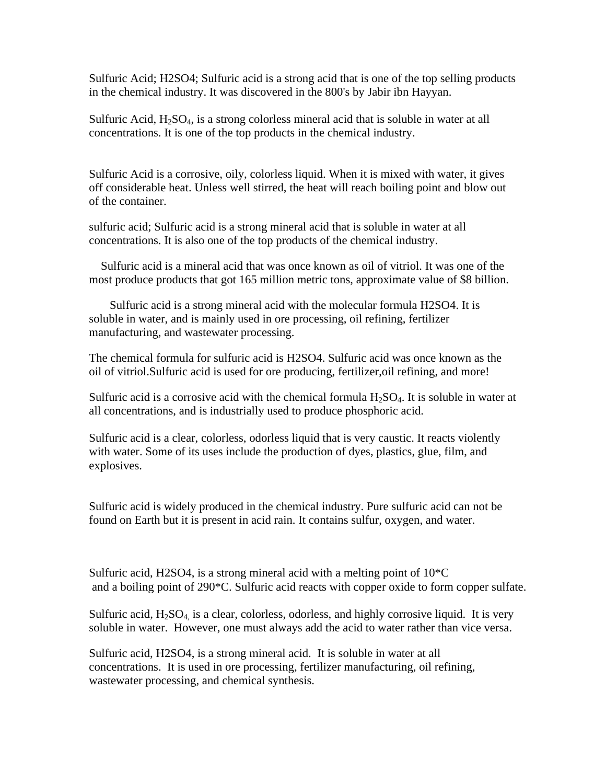Sulfuric Acid; H2SO4; Sulfuric acid is a strong acid that is one of the top selling products in the chemical industry. It was discovered in the 800's by Jabir ibn Hayyan.

Sulfuric Acid,  $H_2SO_4$ , is a strong colorless mineral acid that is soluble in water at all concentrations. It is one of the top products in the chemical industry.

Sulfuric Acid is a corrosive, oily, colorless liquid. When it is mixed with water, it gives off considerable heat. Unless well stirred, the heat will reach boiling point and blow out of the container.

sulfuric acid; Sulfuric acid is a strong mineral acid that is soluble in water at all concentrations. It is also one of the top products of the chemical industry.

 Sulfuric acid is a mineral acid that was once known as oil of vitriol. It was one of the most produce products that got 165 million metric tons, approximate value of \$8 billion.

 Sulfuric acid is a strong mineral acid with the molecular formula H2SO4. It is soluble in water, and is mainly used in ore processing, oil refining, fertilizer manufacturing, and wastewater processing.

The chemical formula for sulfuric acid is H2SO4. Sulfuric acid was once known as the oil of vitriol.Sulfuric acid is used for ore producing, fertilizer,oil refining, and more!

Sulfuric acid is a corrosive acid with the chemical formula  $H_2SO_4$ . It is soluble in water at all concentrations, and is industrially used to produce phosphoric acid.

Sulfuric acid is a clear, colorless, odorless liquid that is very caustic. It reacts violently with water. Some of its uses include the production of dyes, plastics, glue, film, and explosives.

Sulfuric acid is widely produced in the chemical industry. Pure sulfuric acid can not be found on Earth but it is present in acid rain. It contains sulfur, oxygen, and water.

Sulfuric acid, H2SO4, is a strong mineral acid with a melting point of 10\*C and a boiling point of 290\*C. Sulfuric acid reacts with copper oxide to form copper sulfate.

Sulfuric acid,  $H_2SO_4$  is a clear, colorless, odorless, and highly corrosive liquid. It is very soluble in water. However, one must always add the acid to water rather than vice versa.

Sulfuric acid, H2SO4, is a strong mineral acid. It is soluble in water at all concentrations. It is used in ore processing, fertilizer manufacturing, oil refining, wastewater processing, and chemical synthesis.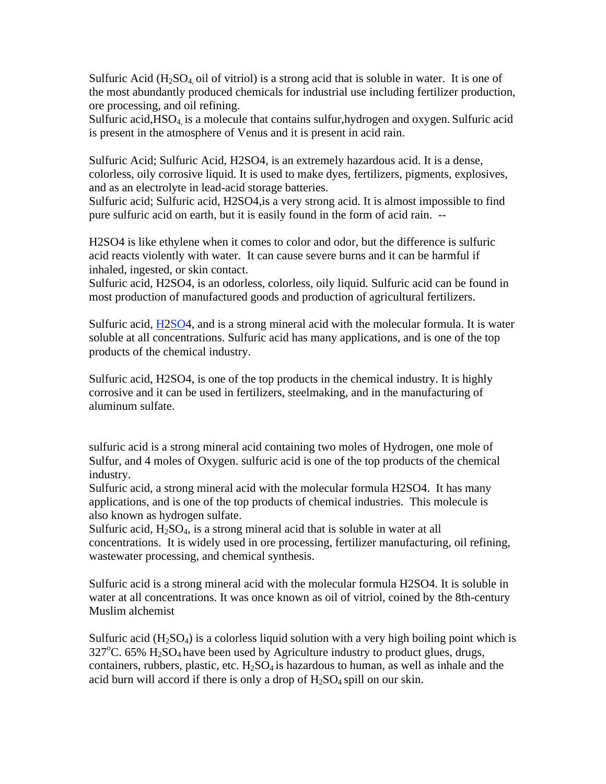Sulfuric Acid ( $H_2SO_4$  oil of vitriol) is a strong acid that is soluble in water. It is one of the most abundantly produced chemicals for industrial use including fertilizer production, ore processing, and oil refining.

Sulfuric acid,HSO4, is a molecule that contains sulfur,hydrogen and oxygen. Sulfuric acid is present in the atmosphere of Venus and it is present in acid rain.

Sulfuric Acid; Sulfuric Acid, H2SO4, is an extremely hazardous acid. It is a dense, colorless, oily corrosive liquid. It is used to make dyes, fertilizers, pigments, explosives, and as an electrolyte in lead-acid storage batteries.

Sulfuric acid; Sulfuric acid, H2SO4,is a very strong acid. It is almost impossible to find pure sulfuric acid on earth, but it is easily found in the form of acid rain. --

H2SO4 is like ethylene when it comes to color and odor, but the difference is sulfuric acid reacts violently with water. It can cause severe burns and it can be harmful if inhaled, ingested, or skin contact.

Sulfuric acid, H2SO4, is an odorless, colorless, oily liquid. Sulfuric acid can be found in most production of manufactured goods and production of agricultural fertilizers.

Sulfuric acid, H2SO4, and is a strong mineral acid with the molecular formula. It is water soluble at all concentrations. Sulfuric acid has many applications, and is one of the top products of the chemical industry.

Sulfuric acid, H2SO4, is one of the top products in the chemical industry. It is highly corrosive and it can be used in fertilizers, steelmaking, and in the manufacturing of aluminum sulfate.

sulfuric acid is a strong mineral acid containing two moles of Hydrogen, one mole of Sulfur, and 4 moles of Oxygen. sulfuric acid is one of the top products of the chemical industry.

Sulfuric acid, a strong mineral acid with the molecular formula H2SO4. It has many applications, and is one of the top products of chemical industries. This molecule is also known as hydrogen sulfate.

Sulfuric acid,  $H_2SO_4$ , is a strong mineral acid that is soluble in water at all concentrations. It is widely used in ore processing, fertilizer manufacturing, oil refining, wastewater processing, and chemical synthesis.

Sulfuric acid is a strong mineral acid with the molecular formula H2SO4. It is soluble in water at all concentrations. It was once known as oil of vitriol, coined by the 8th-century Muslim alchemist

Sulfuric acid  $(H_2SO_4)$  is a colorless liquid solution with a very high boiling point which is 327°C. 65%  $H<sub>2</sub>SO<sub>4</sub>$  have been used by Agriculture industry to product glues, drugs, containers, rubbers, plastic, etc.  $H_2SO_4$  is hazardous to human, as well as inhale and the acid burn will accord if there is only a drop of  $H<sub>2</sub>SO<sub>4</sub>$  spill on our skin.